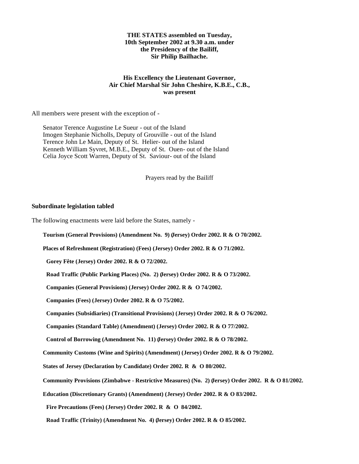### **THE STATES assembled on Tuesday, 10th September 2002 at 9.30 a.m. under the Presidency of the Bailiff, Sir Philip Bailhache.**

## **His Excellency the Lieutenant Governor, Air Chief Marshal Sir John Cheshire, K.B.E., C.B., was present**

All members were present with the exception of -

 Senator Terence Augustine Le Sueur - out of the Island Imogen Stephanie Nicholls, Deputy of Grouville - out of the Island Terence John Le Main, Deputy of St. Helier- out of the Island Kenneth William Syvret, M.B.E., Deputy of St. Ouen- out of the Island Celia Joyce Scott Warren, Deputy of St. Saviour- out of the Island

Prayers read by the Bailiff

## **Subordinate legislation tabled**

The following enactments were laid before the States, namely -

**Tourism (General Provisions) (Amendment No. 9) (Jersey) Order 2002. R & O 70/2002.**

**Places of Refreshment (Registration) (Fees) (Jersey) Order 2002. R & O 71/2002.**

 **Gorey Fête (Jersey) Order 2002. R & O 72/2002.**

 **Road Traffic (Public Parking Places) (No. 2) (Jersey) Order 2002. R & O 73/2002.**

 **Companies (General Provisions) (Jersey) Order 2002. R & O 74/2002.**

 **Companies (Fees) (Jersey) Order 2002. R & O 75/2002.**

 **Companies (Subsidiaries) (Transitional Provisions) (Jersey) Order 2002. R & O 76/2002.**

 **Companies (Standard Table) (Amendment) (Jersey) Order 2002. R & O 77/2002.**

 **Control of Borrowing (Amendment No. 11) (Jersey) Order 2002. R & O 78/2002.**

**Community Customs (Wine and Spirits) (Amendment) (Jersey) Order 2002. R & O 79/2002.**

**States of Jersey (Declaration by Candidate) Order 2002. R & O 80/2002.**

**Community Provisions (Zimbabwe - Restrictive Measures) (No. 2) (Jersey) Order 2002. R & O 81/2002.**

**Education (Discretionary Grants) (Amendment) (Jersey) Order 2002. R & O 83/2002.**

 **Fire Precautions (Fees) (Jersey) Order 2002. R & O 84/2002.**

 **Road Traffic (Trinity) (Amendment No. 4) (Jersey) Order 2002. R & O 85/2002.**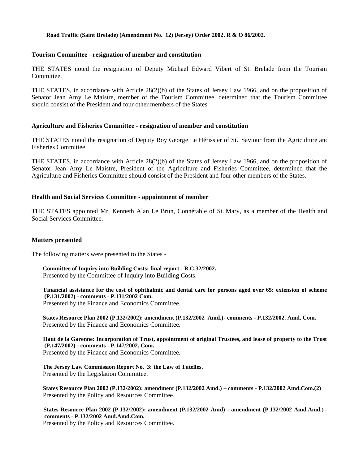#### **Road Traffic (Saint Brelade) (Amendment No. 12) (Jersey) Order 2002. R & O 86/2002.**

## **Tourism Committee - resignation of member and constitution**

THE STATES noted the resignation of Deputy Michael Edward Vibert of St. Brelade from the Tourism Committee.

THE STATES, in accordance with Article 28(2)(b) of the States of Jersey Law 1966, and on the proposition of Senator Jean Amy Le Maistre, member of the Tourism Committee, determined that the Tourism Committee should consist of the President and four other members of the States.

### **Agriculture and Fisheries Committee - resignation of member and constitution**

THE STATES noted the resignation of Deputy Roy George Le Hérissier of St. Saviour from the Agriculture and Fisheries Committee.

THE STATES, in accordance with Article 28(2)(b) of the States of Jersey Law 1966, and on the proposition of Senator Jean Amy Le Maistre, President of the Agriculture and Fisheries Committee, determined that the Agriculture and Fisheries Committee should consist of the President and four other members of the States.

#### **Health and Social Services Committee - appointment of member**

THE STATES appointed Mr. Kenneth Alan Le Brun, Connétable of St. Mary, as a member of the Health and Social Services Committee.

### **Matters presented**

The following matters were presented to the States -

 **Committee of Inquiry into Building Costs: final report - R.C.32/2002.** Presented by the Committee of Inquiry into Building Costs.

 **Financial assistance for the cost of ophthalmic and dental care for persons aged over 65: extension of scheme (P.131/2002) - comments - P.131/2002 Com.** Presented by the Finance and Economics Committee*.*

**States Resource Plan 2002 (P.132/2002): amendment (P.132/2002 Amd.) - comments - P.132/2002. Amd. Com.** Presented by the Finance and Economics Committee.

 **Haut de la Garenne: Incorporation of Trust, appointment of original Trustees, and lease of property to the Trust (P.147/2002) - comments - P.147/2002. Com.** Presented by the Finance and Economics Committee.

 **The Jersey Law Commission Report No. 3: the Law of Tutelles.** Presented by the Legislation Committee.

 **States Resource Plan 2002 (P.132/2002): amendment (P.132/2002 Amd.) – comments - P.132/2002 Amd.Com.(2)** Presented by the Policy and Resources Committee.

 **States Resource Plan 2002 (P.132/2002): amendment (P.132/2002 Amd) - amendment (P.132/2002 Amd.Amd.) comments - P.132/2002 Amd.Amd.Com.**

Presented by the Policy and Resources Committee.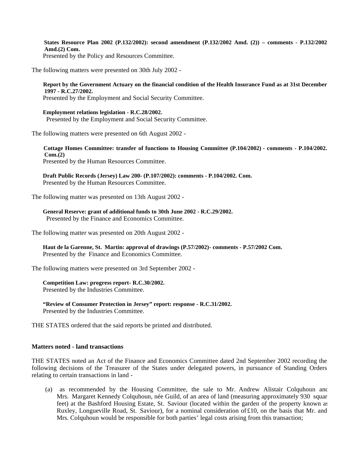**States Resource Plan 2002 (P.132/2002): second amendment (P.132/2002 Amd. (2)) – comments - P.132/2002 Amd.(2) Com.** Presented by the Policy and Resources Committee.

The following matters were presented on 30th July 2002 -

 **Report by the Government Actuary on the financial condition of the Health Insurance Fund as at 31st December 1997 - R.C.27/2002.**

Presented by the Employment and Social Security Committee.

#### **Employment relations legislation - R.C.28/2002.**

Presented by the Employment and Social Security Committee.

The following matters were presented on 6th August 2002 -

 **Cottage Homes Committee: transfer of functions to Housing Committee (P.104/2002) - comments - P.104/2002. Com.(2)** Presented by the Human Resources Committee.

 **Draft Public Records (Jersey) Law 200- (P.107/2002): comments - P.104/2002. Com.** Presented by the Human Resources Committee.

The following matter was presented on 13th August 2002 -

 **General Reserve: grant of additional funds to 30th June 2002 - R.C.29/2002.** Presented by the Finance and Economics Committee.

The following matter was presented on 20th August 2002 -

 **Haut de la Garenne, St. Martin: approval of drawings (P.57/2002) - comments - P.57/2002 Com.** Presented by the Finance and Economics Committee.

The following matters were presented on 3rd September 2002 -

**Competition Law: progress report- R.C.30/2002.**

Presented by the Industries Committee.

 **"Review of Consumer Protection in Jersey" report: response - R.C.31/2002.** Presented by the Industries Committee.

THE STATES ordered that the said reports be printed and distributed.

### **Matters noted - land transactions**

THE STATES noted an Act of the Finance and Economics Committee dated 2nd September 2002 recording the following decisions of the Treasurer of the States under delegated powers, in pursuance of Standing Orders relating to certain transactions in land -

 (a) as recommended by the Housing Committee, the sale to Mr. Andrew Alistair Colquhoun and Mrs. Margaret Kennedy Colquhoun, née Guild, of an area of land (measuring approximately 930 squar feet) at the Bashford Housing Estate, St. Saviour (located within the garden of the property known as Ruxley, Longueville Road, St. Saviour), for a nominal consideration of £10, on the basis that Mr. and Mrs. Colquhoun would be responsible for both parties' legal costs arising from this transaction;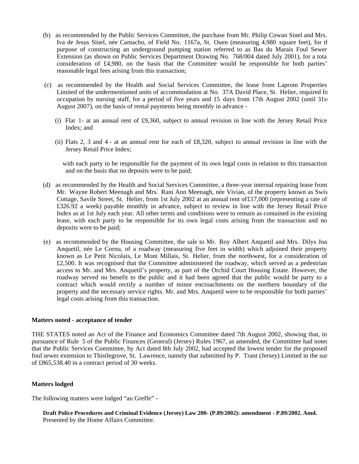- (b) as recommended by the Public Services Committee, the purchase from Mr. Philip Cowan Sinel and Mrs. Iva de Jesus Sinel, née Camacho, of Field No. 1167a, St. Ouen (measuring 4,980 square feet), for the purpose of constructing an underground pumping station referred to as Bas du Marais Foul Sewer Extension (as shown on Public Services Department Drawing No. 768/004 dated July 2001), for a total consideration of £4,980, on the basis that the Committee would be responsible for both parties' reasonable legal fees arising from this transaction;
- (c) as recommended by the Health and Social Services Committee, the lease from Laprom Properties Limited of the undermentioned units of accommodation at No. 37A David Place, St. Helier, required for occupation by nursing staff, for a period of five years and 15 days from 17th August 2002 (until 31st August 2007), on the basis of rental payments being monthly in advance -
	- (i) Flat 1- at an annual rent of £9,360, subject to annual revision in line with the Jersey Retail Price Index; and
	- (ii) Flats 2, 3 and 4 at an annual rent for each of £8,320, subject to annual revision in line with the Jersey Retail Price Index;

 with each party to be responsible for the payment of its own legal costs in relation to this transaction and on the basis that no deposits were to be paid;

- (d) as recommended by the Health and Social Services Committee, a three-year internal repairing lease from Mr. Wayne Robert Meenagh and Mrs. Rani Ann Meenagh, née Vivian, of the property known as Swiss Cottage, Savile Street, St. Helier, from 1st July 2002 at an annual rent of£17,000 (representing a rate of £326.92 a week) payable monthly in advance, subject to review in line with the Jersey Retail Price Index as at 1st July each year. All other terms and conditions were to remain as contained in the existing lease, with each party to be responsible for its own legal costs arising from the transaction and no deposits were to be paid;
- (e) as recommended by the Housing Committee, the sale to Mr. Roy Albert Anquetil and Mrs. Dilys Joan Anquetil, née Le Cornu, of a roadway (measuring five feet in width) which adjoined their property known as Le Petit Nicolais, Le Mont Millais, St. Helier, from the north-west, for a consideration of  $£2,500$ . It was recognised that the Committee administered the roadway, which served as a pedestrian access to Mr. and Mrs. Anquetil's property, as part of the Orchid Court Housing Estate. However, the roadway served no benefit to the public and it had been agreed that the public would be party to a contract which would rectify a number of minor encroachments on the northern boundary of the property and the necessary service rights. Mr. and Mrs. Anquetil were to be responsible for both parties' legal costs arising from this transaction.

### **Matters noted - acceptance of tender**

THE STATES noted an Act of the Finance and Economics Committee dated 7th August 2002, showing that, in pursuance of Rule 5 of the Public Finances (General) (Jersey) Rules 1967, as amended, the Committee had noted that the Public Services Committee, by Act dated 8th July 2002, had accepted the lowest tender for the proposed foul sewer extension to Thistlegrove, St. Lawrence, namely that submitted by P. Trant (Jersey) Limited in the sur of £865,538.40 in a contract period of 30 weeks.

### **Matters lodged**

The following matters were lodged "au Greffe" -

 **Draft Police Procedures and Criminal Evidence (Jersey) Law 200- (P.89/2002): amendment - P.89/2002. Amd.** Presented by the Home Affairs Committee.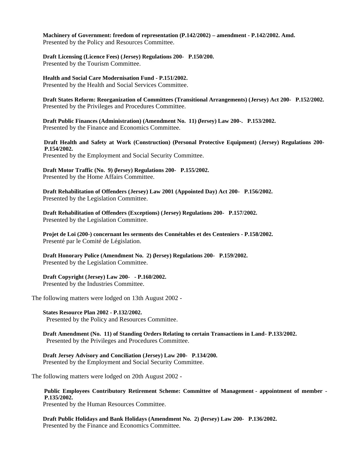**Machinery of Government: freedom of representation (P.142/2002) – amendment - P.142/2002. Amd.** Presented by the Policy and Resources Committee.

 **Draft Licensing (Licence Fees) (Jersey) Regulations 200- P.150/200.** Presented by the Tourism Committee.

 **Health and Social Care Modernisation Fund - P.151/2002.** Presented by the Health and Social Services Committee.

 **Draft States Reform: Reorganization of Committees (Transitional Arrangements) (Jersey) Act 200- P.152/2002.** Presented by the Privileges and Procedures Committee.

 **Draft Public Finances (Administration) (Amendment No. 11) (Jersey) Law 200-. P.153/2002.** Presented by the Finance and Economics Committee.

 **Draft Health and Safety at Work (Construction) (Personal Protective Equipment) (Jersey) Regulations 200- P.154/2002.**

Presented by the Employment and Social Security Committee.

 **Draft Motor Traffic (No. 9) (Jersey) Regulations 200- P.155/2002.** Presented by the Home Affairs Committee.

 **Draft Rehabilitation of Offenders (Jersey) Law 2001 (Appointed Day) Act 200- P.156/2002.** Presented by the Legislation Committee.

 **Draft Rehabilitation of Offenders (Exceptions) (Jersey) Regulations 200- P.157/2002.** Presented by the Legislation Committee.

 **Projet de Loi (200-) concernant les serments des Connétables et des Centeniers - P.158/2002.** Presenté par le Comité de Législation.

 **Draft Honorary Police (Amendment No. 2) (Jersey) Regulations 200- P.159/2002.** Presented by the Legislation Committee.

 **Draft Copyright (Jersey) Law 200- - P.160/2002.** Presented by the Industries Committee.

The following matters were lodged on 13th August 2002 -

**States Resource Plan 2002 - P.132/2002.**

Presented by the Policy and Resources Committee.

 **Draft Amendment (No. 11) of Standing Orders Relating to certain Transactions in Land- P.133/2002.** Presented by the Privileges and Procedures Committee.

 **Draft Jersey Advisory and Conciliation (Jersey) Law 200- P.134/200.** Presented by the Employment and Social Security Committee.

The following matters were lodged on 20th August 2002 -

 **Public Employees Contributory Retirement Scheme: Committee of Management - appointment of member - P.135/2002.**

Presented by the Human Resources Committee.

 **Draft Public Holidays and Bank Holidays (Amendment No. 2) (Jersey) Law 200- P.136/2002.** Presented by the Finance and Economics Committee.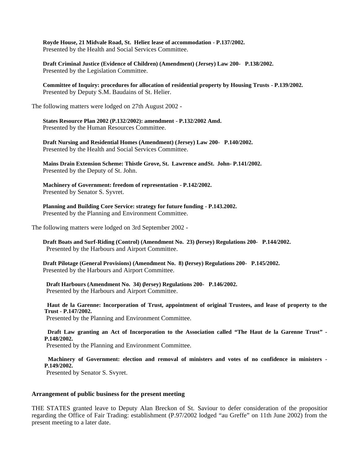**Royde House, 21 Midvale Road, St. Helier: lease of accommodation - P.137/2002.** Presented by the Health and Social Services Committee.

 **Draft Criminal Justice (Evidence of Children) (Amendment) (Jersey) Law 200- P.138/2002.** Presented by the Legislation Committee.

 **Committee of Inquiry: procedures for allocation of residential property by Housing Trusts - P.139/2002.** Presented by Deputy S.M. Baudains of St. Helier.

The following matters were lodged on 27th August 2002 -

 **States Resource Plan 2002 (P.132/2002): amendment - P.132/2002 Amd.** Presented by the Human Resources Committee.

 **Draft Nursing and Residential Homes (Amendment) (Jersey) Law 200- P.140/2002.** Presented by the Health and Social Services Committee.

 **Mains Drain Extension Scheme: Thistle Grove, St. Lawrence andSt. John- P.141/2002.** Presented by the Deputy of St. John.

 **Machinery of Government: freedom of representation - P.142/2002.** Presented by Senator S. Syvret.

 **Planning and Building Core Service: strategy for future funding - P.143.2002.** Presented by the Planning and Environment Committee.

The following matters were lodged on 3rd September 2002 -

 **Draft Boats and Surf-Riding (Control) (Amendment No. 23) (Jersey) Regulations 200- P.144/2002.** Presented by the Harbours and Airport Committee.

 **Draft Pilotage (General Provisions) (Amendment No. 8) (Jersey) Regulations 200- P.145/2002.** Presented by the Harbours and Airport Committee.

 **Draft Harbours (Amendment No. 34) (Jersey) Regulations 200- P.146/2002.** Presented by the Harbours and Airport Committee.

 **Haut de la Garenne: Incorporation of Trust, appointment of original Trustees, and lease of property to the Trust - P.147/2002.**

Presented by the Planning and Environment Committee.

 **Draft Law granting an Act of Incorporation to the Association called "The Haut de la Garenne Trust" - P.148/2002.**

Presented by the Planning and Environment Committee.

 **Machinery of Government: election and removal of ministers and votes of no confidence in ministers - P.149/2002.**

Presented by Senator S. Svyret.

### **Arrangement of public business for the present meeting**

THE STATES granted leave to Deputy Alan Breckon of St. Saviour to defer consideration of the proposition regarding the Office of Fair Trading: establishment (P.97/2002 lodged "au Greffe" on 11th June 2002) from the present meeting to a later date.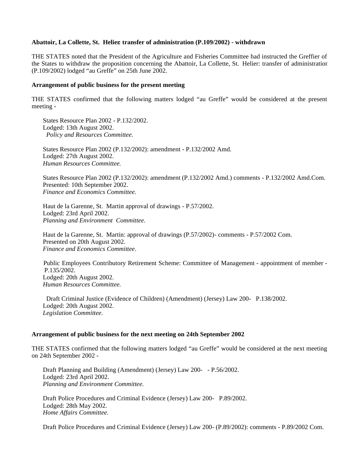## **Abattoir, La Collette, St. Helier: transfer of administration (P.109/2002) - withdrawn**

THE STATES noted that the President of the Agriculture and Fisheries Committee had instructed the Greffier of the States to withdraw the proposition concerning the Abattoir, La Collette, St. Helier: transfer of administration (P.109/2002) lodged "au Greffe" on 25th June 2002.

### **Arrangement of public business for the present meeting**

THE STATES confirmed that the following matters lodged "au Greffe" would be considered at the present meeting -

 States Resource Plan 2002 - P.132/2002. Lodged: 13th August 2002. *Policy and Resources Committee.*

 States Resource Plan 2002 (P.132/2002): amendment - P.132/2002 Amd. Lodged: 27th August 2002. *Human Resources Committee.*

 States Resource Plan 2002 (P.132/2002): amendment (P.132/2002 Amd.) comments - P.132/2002 Amd.Com. Presented: 10th September 2002. *Finance and Economics Committee.*

Haut de la Garenne, St. Martin approval of drawings - P.57/2002. Lodged: 23rd April 2002. *Planning and Environment Committee.*

 Haut de la Garenne, St. Martin: approval of drawings (P.57/2002) - comments - P.57/2002 Com. Presented on 20th August 2002. *Finance and Economics Committee*.

 Public Employees Contributory Retirement Scheme: Committee of Management - appointment of member - P.135/2002. Lodged: 20th August 2002. *Human Resources Committee.*

Draft Criminal Justice (Evidence of Children) (Amendment) (Jersey) Law 200- P.138/2002. Lodged: 20th August 2002. *Legislation Committee.*

#### **Arrangement of public business for the next meeting on 24th September 2002**

THE STATES confirmed that the following matters lodged "au Greffe" would be considered at the next meeting on 24th September 2002 -

 Draft Planning and Building (Amendment) (Jersey) Law 200- - P.56/2002. Lodged: 23rd April 2002. *Planning and Environment Committee.*

 Draft Police Procedures and Criminal Evidence (Jersey) Law 200- P.89/2002. Lodged: 28th May 2002. *Home Affairs Committee.*

Draft Police Procedures and Criminal Evidence (Jersey) Law 200- (P.89/2002): comments - P.89/2002 Com.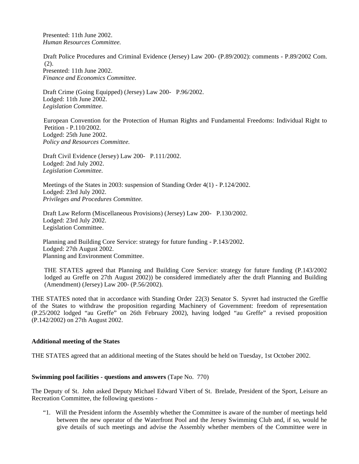Presented: 11th June 2002. *Human Resources Committee.*

 Draft Police Procedures and Criminal Evidence (Jersey) Law 200- (P.89/2002): comments - P.89/2002 Com. (2). Presented: 11th June 2002. *Finance and Economics Committee.*

 Draft Crime (Going Equipped) (Jersey) Law 200- P.96/2002. Lodged: 11th June 2002. *Legislation Committee.*

 European Convention for the Protection of Human Rights and Fundamental Freedoms: Individual Right to Petition - P.110/2002. Lodged: 25th June 2002. *Policy and Resources Committee.*

 Draft Civil Evidence (Jersey) Law 200- P.111/2002. Lodged: 2nd July 2002. *Legislation Committee.*

 Meetings of the States in 2003: suspension of Standing Order 4(1) - P.124/2002. Lodged: 23rd July 2002. *Privileges and Procedures Committee.*

 Draft Law Reform (Miscellaneous Provisions) (Jersey) Law 200- P.130/2002. Lodged: 23rd July 2002. Legislation Committee.

Planning and Building Core Service: strategy for future funding - P.143/2002. Lodged: 27th August 2002. Planning and Environment Committee.

 THE STATES agreed that Planning and Building Core Service: strategy for future funding (P.143/2002 lodged au Greffe on 27th August 2002)) be considered immediately after the draft Planning and Building (Amendment) (Jersey) Law 200- (P.56/2002).

THE STATES noted that in accordance with Standing Order 22(3) Senator S. Syvret had instructed the Greffie of the States to withdraw the proposition regarding Machinery of Government: freedom of representation (P.25/2002 lodged "au Greffe" on 26th February 2002), having lodged "au Greffe" a revised proposition (P.142/2002) on 27th August 2002.

# **Additional meeting of the States**

THE STATES agreed that an additional meeting of the States should be held on Tuesday, 1st October 2002.

# **Swimming pool facilities - questions and answers** (Tape No. 770)

The Deputy of St. John asked Deputy Michael Edward Vibert of St. Brelade, President of the Sport, Leisure and Recreation Committee, the following questions -

 "1. Will the President inform the Assembly whether the Committee is aware of the number of meetings held between the new operator of the Waterfront Pool and the Jersey Swimming Club and, if so, would he give details of such meetings and advise the Assembly whether members of the Committee were in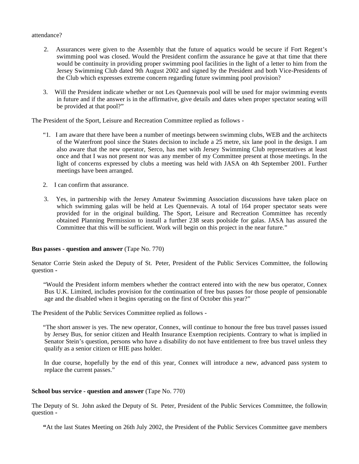### attendance?

- 2. Assurances were given to the Assembly that the future of aquatics would be secure if Fort Regent's swimming pool was closed. Would the President confirm the assurance he gave at that time that there would be continuity in providing proper swimming pool facilities in the light of a letter to him from the Jersey Swimming Club dated 9th August 2002 and signed by the President and both Vice-Presidents of the Club which expresses extreme concern regarding future swimming pool provision?
- 3. Will the President indicate whether or not Les Quennevais pool will be used for major swimming events in future and if the answer is in the affirmative, give details and dates when proper spectator seating will be provided at that pool?"

The President of the Sport, Leisure and Recreation Committee replied as follows -

- "1. I am aware that there have been a number of meetings between swimming clubs, WEB and the architects of the Waterfront pool since the States decision to include a 25 metre, six lane pool in the design. I am also aware that the new operator, Serco, has met with Jersey Swimming Club representatives at least once and that I was not present nor was any member of my Committee present at those meetings. In the light of concerns expressed by clubs a meeting was held with JASA on 4th September 2001. Further meetings have been arranged.
- 2. I can confirm that assurance.
- 3. Yes, in partnership with the Jersey Amateur Swimming Association discussions have taken place on which swimming galas will be held at Les Quennevais. A total of 164 proper spectator seats were provided for in the original building. The Sport, Leisure and Recreation Committee has recently obtained Planning Permission to install a further 238 seats poolside for galas. JASA has assured the Committee that this will be sufficient. Work will begin on this project in the near future."

### **Bus passes - question and answer** (Tape No. 770)

Senator Corrie Stein asked the Deputy of St. Peter, President of the Public Services Committee, the following question **-**

"Would the President inform members whether the contract entered into with the new bus operator, Connex Bus U.K. Limited, includes provision for the continuation of free bus passes for those people of pensionable age and the disabled when it begins operating on the first of October this year?"

The President of the Public Services Committee replied as follows -

 "The short answer is yes. The new operator, Connex, will continue to honour the free bus travel passes issued by Jersey Bus, for senior citizen and Health Insurance Exemption recipients. Contrary to what is implied in Senator Stein's question, persons who have a disability do not have entitlement to free bus travel unless they qualify as a senior citizen or HIE pass holder.

 In due course, hopefully by the end of this year, Connex will introduce a new, advanced pass system to replace the current passes."

### **School bus service - question and answer** (Tape No. 770)

The Deputy of St. John asked the Deputy of St. Peter, President of the Public Services Committee, the following question **-**

 **"**At the last States Meeting on 26th July 2002, the President of the Public Services Committee gave members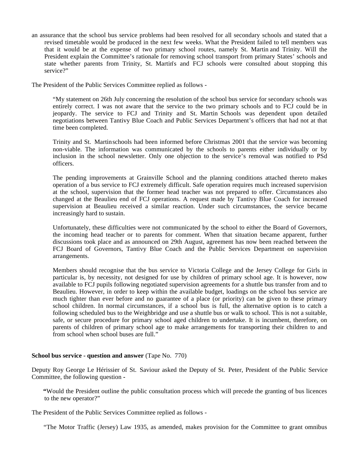an assurance that the school bus service problems had been resolved for all secondary schools and stated that a revised timetable would be produced in the next few weeks. What the President failed to tell members was that it would be at the expense of two primary school routes, namely St. Martin and Trinity. Will the President explain the Committee's rationale for removing school transport from primary States' schools and state whether parents from Trinity, St. Martin's and FCJ schools were consulted about stopping this service?"

The President of the Public Services Committee replied as follows -

"My statement on 26th July concerning the resolution of the school bus service for secondary schools was entirely correct. I was not aware that the service to the two primary schools and to FCJ could be in jeopardy. The service to FCJ and Trinity and St. Martin Schools was dependent upon detailed negotiations between Tantivy Blue Coach and Public Services Department's officers that had not at that time been completed.

Trinity and St. Martin schools had been informed before Christmas 2001 that the service was becoming non-viable. The information was communicated by the schools to parents either individually or by inclusion in the school newsletter. Only one objection to the service's removal was notified to PSd officers.

The pending improvements at Grainville School and the planning conditions attached thereto makes operation of a bus service to FCJ extremely difficult. Safe operation requires much increased supervision at the school, supervision that the former head teacher was not prepared to offer. Circumstances also changed at the Beaulieu end of FCJ operations. A request made by Tantivy Blue Coach for increased supervision at Beaulieu received a similar reaction. Under such circumstances, the service became increasingly hard to sustain.

Unfortunately, these difficulties were not communicated by the school to either the Board of Governors, the incoming head teacher or to parents for comment. When that situation became apparent, further discussions took place and as announced on 29th August, agreement has now been reached between the FCJ Board of Governors, Tantivy Blue Coach and the Public Services Department on supervision arrangements.

Members should recognise that the bus service to Victoria College and the Jersey College for Girls in particular is, by necessity, not designed for use by children of primary school age. It is however, now available to FCJ pupils following negotiated supervision agreements for a shuttle bus transfer from and to Beaulieu. However, in order to keep within the available budget, loadings on the school bus service are much tighter than ever before and no guarantee of a place (or priority) can be given to these primary school children. In normal circumstances, if a school bus is full, the alternative option is to catch a following scheduled bus to the Weighbridge and use a shuttle bus or walk to school. This is not a suitable, safe, or secure procedure for primary school aged children to undertake. It is incumbent, therefore, on parents of children of primary school age to make arrangements for transporting their children to and from school when school buses are full."

# **School bus service - question and answer** (Tape No. 770)

Deputy Roy George Le Hérissier of St. Saviour asked the Deputy of St. Peter, President of the Public Service Committee, the following question **-**

 **"**Would the President outline the public consultation process which will precede the granting of bus licences to the new operator?"

The President of the Public Services Committee replied as follows -

"The Motor Traffic (Jersey) Law 1935, as amended, makes provision for the Committee to grant omnibus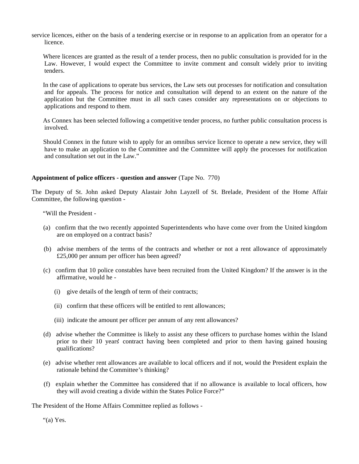service licences, either on the basis of a tendering exercise or in response to an application from an operator for a licence.

 Where licences are granted as the result of a tender process, then no public consultation is provided for in the Law. However, I would expect the Committee to invite comment and consult widely prior to inviting tenders.

 In the case of applications to operate bus services, the Law sets out processes for notification and consultation and for appeals. The process for notice and consultation will depend to an extent on the nature of the application but the Committee must in all such cases consider any representations on or objections to applications and respond to them.

 As Connex has been selected following a competitive tender process, no further public consultation process is involved.

 Should Connex in the future wish to apply for an omnibus service licence to operate a new service, they will have to make an application to the Committee and the Committee will apply the processes for notification and consultation set out in the Law."

## **Appointment of police officers - question and answer** (Tape No. 770)

The Deputy of St. John asked Deputy Alastair John Layzell of St. Brelade, President of the Home Affair Committee, the following question -

"Will the President -

- (a) confirm that the two recently appointed Superintendents who have come over from the United kingdom are on employed on a contract basis?
- (b) advise members of the terms of the contracts and whether or not a rent allowance of approximately £25,000 per annum per officer has been agreed?
- (c) confirm that 10 police constables have been recruited from the United Kingdom? If the answer is in the affirmative, would he -
	- (i) give details of the length of term of their contracts;
	- (ii) confirm that these officers will be entitled to rent allowances;
	- (iii) indicate the amount per officer per annum of any rent allowances?
- (d) advise whether the Committee is likely to assist any these officers to purchase homes within the Island prior to their 10 years' contract having been completed and prior to them having gained housing qualifications?
- (e) advise whether rent allowances are available to local officers and if not, would the President explain the rationale behind the Committee's thinking?
- (f) explain whether the Committee has considered that if no allowance is available to local officers, how they will avoid creating a divide within the States Police Force?"

The President of the Home Affairs Committee replied as follows -

"(a) Yes.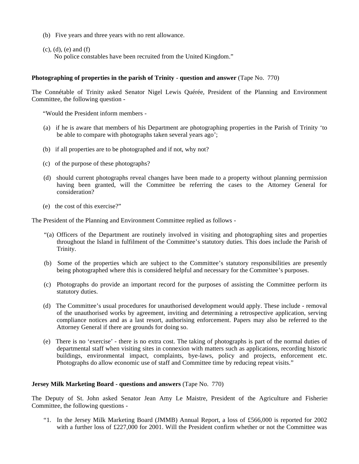- (b) Five years and three years with no rent allowance.
- (c), (d), (e) and (f)

No police constables have been recruited from the United Kingdom."

## **Photographing of properties in the parish of Trinity** - **question and answer** (Tape No. 770)

The Connétable of Trinity asked Senator Nigel Lewis Quérée, President of the Planning and Environment Committee, the following question -

"Would the President inform members -

- (a) if he is aware that members of his Department are photographing properties in the Parish of Trinity 'to be able to compare with photographs taken several years ago';
- (b) if all properties are to be photographed and if not, why not?
- (c) of the purpose of these photographs?
- (d) should current photographs reveal changes have been made to a property without planning permission having been granted, will the Committee be referring the cases to the Attorney General for consideration?
- (e) the cost of this exercise?"

The President of the Planning and Environment Committee replied as follows -

- "(a) Officers of the Department are routinely involved in visiting and photographing sites and properties throughout the Island in fulfilment of the Committee's statutory duties. This does include the Parish of Trinity.
- (b) Some of the properties which are subject to the Committee's statutory responsibilities are presently being photographed where this is considered helpful and necessary for the Committee's purposes.
- (c) Photographs do provide an important record for the purposes of assisting the Committee perform its statutory duties.
- (d) The Committee's usual procedures for unauthorised development would apply. These include removal of the unauthorised works by agreement, inviting and determining a retrospective application, serving compliance notices and as a last resort, authorising enforcement. Papers may also be referred to the Attorney General if there are grounds for doing so.
- (e) There is no 'exercise' there is no extra cost. The taking of photographs is part of the normal duties of departmental staff when visiting sites in connexion with matters such as applications, recording historic buildings, environmental impact, complaints, bye-laws, policy and projects, enforcement etc. Photographs do allow economic use of staff and Committee time by reducing repeat visits."

## **Jersey Milk Marketing Board - questions and answers** (Tape No. 770)

The Deputy of St. John asked Senator Jean Amy Le Maistre, President of the Agriculture and Fisheries Committee, the following questions -

 "1. In the Jersey Milk Marketing Board (JMMB) Annual Report, a loss of £566,000 is reported for 2002 with a further loss of £227,000 for 2001. Will the President confirm whether or not the Committee was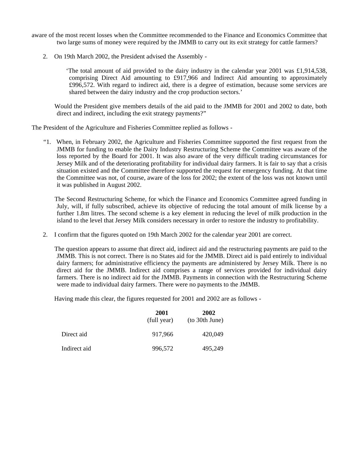- aware of the most recent losses when the Committee recommended to the Finance and Economics Committee that two large sums of money were required by the JMMB to carry out its exit strategy for cattle farmers?
	- 2. On 19th March 2002, the President advised the Assembly -

 'The total amount of aid provided to the dairy industry in the calendar year 2001 was £1,914,538, comprising Direct Aid amounting to £917,966 and Indirect Aid amounting to approximately £996,572. With regard to indirect aid, there is a degree of estimation, because some services are shared between the dairy industry and the crop production sectors.'

 Would the President give members details of the aid paid to the JMMB for 2001 and 2002 to date, both direct and indirect, including the exit strategy payments?"

The President of the Agriculture and Fisheries Committee replied as follows -

 "1. When, in February 2002, the Agriculture and Fisheries Committee supported the first request from the JMMB for funding to enable the Dairy Industry Restructuring Scheme the Committee was aware of the loss reported by the Board for 2001. It was also aware of the very difficult trading circumstances for Jersey Milk and of the deteriorating profitability for individual dairy farmers. It is fair to say that a crisis situation existed and the Committee therefore supported the request for emergency funding. At that time the Committee was not, of course, aware of the loss for 2002; the extent of the loss was not known until it was published in August 2002.

 The Second Restructuring Scheme, for which the Finance and Economics Committee agreed funding in July, will, if fully subscribed, achieve its objective of reducing the total amount of milk license by a further 1.8m litres. The second scheme is a key element in reducing the level of milk production in the island to the level that Jersey Milk considers necessary in order to restore the industry to profitability.

2. I confirm that the figures quoted on 19th March 2002 for the calendar year 2001 are correct.

 The question appears to assume that direct aid, indirect aid and the restructuring payments are paid to the JMMB. This is not correct. There is no States aid for the JMMB. Direct aid is paid entirely to individual dairy farmers; for administrative efficiency the payments are administered by Jersey Milk. There is no direct aid for the JMMB. Indirect aid comprises a range of services provided for individual dairy farmers. There is no indirect aid for the JMMB. Payments in connection with the Restructuring Scheme were made to individual dairy farmers. There were no payments to the JMMB.

Having made this clear, the figures requested for 2001 and 2002 are as follows -

|              | 2001<br>(full year) | 2002<br>(to 30th June) |
|--------------|---------------------|------------------------|
| Direct aid   | 917.966             | 420,049                |
| Indirect aid | 996,572             | 495,249                |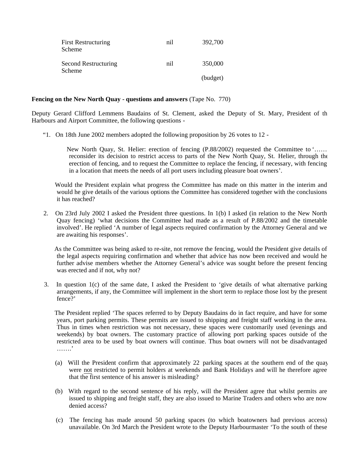| <b>First Restructuring</b><br>Scheme | nil | 392,700  |
|--------------------------------------|-----|----------|
| Second Restructuring<br>Scheme       | nil | 350,000  |
|                                      |     | (budget) |

#### **Fencing on the New North Quay - questions and answers** (Tape No. 770)

Deputy Gerard Clifford Lemmens Baudains of St. Clement, asked the Deputy of St. Mary, President of the Harbours and Airport Committee, the following questions -

"1. On 18th June 2002 members adopted the following proposition by 26 votes to 12 -

 New North Quay, St. Helier: erection of fencing (P.88/2002) requested the Committee to '…… reconsider its decision to restrict access to parts of the New North Quay, St. Helier, through the erection of fencing, and to request the Committee to replace the fencing, if necessary, with fencing in a location that meets the needs of all port users including pleasure boat owners'.

 Would the President explain what progress the Committee has made on this matter in the interim and would he give details of the various options the Committee has considered together with the conclusions it has reached?

 2. On 23rd July 2002 I asked the President three questions. In 1(b) I asked (in relation to the New North Quay fencing) 'what decisions the Committee had made as a result of P.88/2002 and the timetable involved'. He replied 'A number of legal aspects required confirmation by the Attorney General and we are awaiting his responses'.

 As the Committee was being asked to re-site, not remove the fencing, would the President give details of the legal aspects requiring confirmation and whether that advice has now been received and would he further advise members whether the Attorney General's advice was sought before the present fencing was erected and if not, why not?

 3. In question 1(c) of the same date, I asked the President to 'give details of what alternative parking arrangements, if any, the Committee will implement in the short term to replace those lost by the present fence?'

 The President replied 'The spaces referred to by Deputy Baudains do in fact require, and have for some years, port parking permits. These permits are issued to shipping and freight staff working in the area. Thus in times when restriction was not necessary, these spaces were customarily used (evenings and weekends) by boat owners. The customary practice of allowing port parking spaces outside of the restricted area to be used by boat owners will continue. Thus boat owners will not be disadvantaged …….'

- (a) Will the President confirm that approximately 22 parking spaces at the southern end of the quay were not restricted to permit holders at weekends and Bank Holidays and will he therefore agree that the first sentence of his answer is misleading?
- (b) With regard to the second sentence of his reply, will the President agree that whilst permits are issued to shipping and freight staff, they are also issued to Marine Traders and others who are now denied access?
- (c) The fencing has made around 50 parking spaces (to which boatowners had previous access) unavailable. On 3rd March the President wrote to the Deputy Harbourmaster 'To the south of these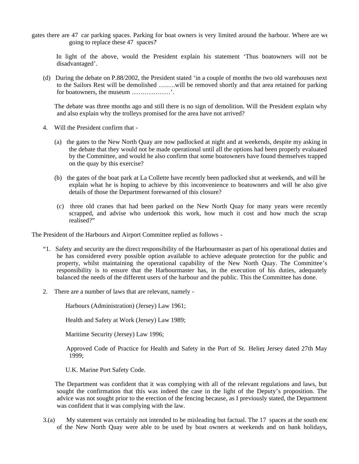gates there are 47 car parking spaces. Parking for boat owners is very limited around the harbour. Where are we going to replace these 47 spaces?'

 In light of the above, would the President explain his statement 'Thus boatowners will not be disadvantaged'.

 (d) During the debate on P.88/2002, the President stated 'in a couple of months the two old warehouses next to the Sailors Rest will be demolished ….….will be removed shortly and that area retained for parking for boatowners, the museum ………………'.

 The debate was three months ago and still there is no sign of demolition. Will the President explain why and also explain why the trolleys promised for the area have not arrived?

- 4. Will the President confirm that
	- (a) the gates to the New North Quay are now padlocked at night and at weekends, despite my asking in the debate that they would not be made operational until all the options had been properly evaluated by the Committee, and would he also confirm that some boatowners have found themselves trapped on the quay by this exercise?
	- (b) the gates of the boat park at La Collette have recently been padlocked shut at weekends, and will he explain what he is hoping to achieve by this inconvenience to boatowners and will he also give details of those the Department forewarned of this closure?
	- (c) three old cranes that had been parked on the New North Quay for many years were recently scrapped, and advise who undertook this work, how much it cost and how much the scrap realised?"

The President of the Harbours and Airport Committee replied as follows -

- "1. Safety and security are the direct responsibility of the Harbourmaster as part of his operational duties and he has considered every possible option available to achieve adequate protection for the public and property, whilst maintaining the operational capability of the New North Quay. The Committee's responsibility is to ensure that the Harbourmaster has, in the execution of his duties, adequately balanced the needs of the different users of the harbour and the public. This the Committee has done.
- 2. There are a number of laws that are relevant, namely -

Harbours (Administration) (Jersey) Law 1961;

Health and Safety at Work (Jersey) Law 1989;

Maritime Security (Jersey) Law 1996;

 Approved Code of Practice for Health and Safety in the Port of St. Helier, Jersey dated 27th May 1999;

U.K. Marine Port Safety Code.

 The Department was confident that it was complying with all of the relevant regulations and laws, but sought the confirmation that this was indeed the case in the light of the Deputy's proposition. The advice was not sought prior to the erection of the fencing because, as I previously stated, the Department was confident that it was complying with the law.

 $3(a)$  My statement was certainly not intended to be misleading but factual. The 17 spaces at the south end of the New North Quay were able to be used by boat owners at weekends and on bank holidays,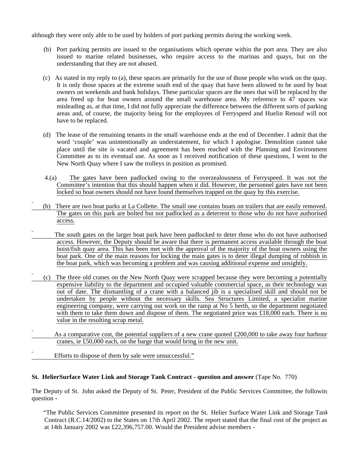although they were only able to be used by holders of port parking permits during the working week.

- (b) Port parking permits are issued to the organisations which operate within the port area. They are also issued to marine related businesses, who require access to the marinas and quays, but on the understanding that they are not abused.
- (c) As stated in my reply to (a), these spaces are primarily for the use of those people who work on the quay. It is only those spaces at the extreme south end of the quay that have been allowed to be used by boat owners on weekends and bank holidays. These particular spaces are the ones that will be replaced by the area freed up for boat owners around the small warehouse area. My reference to 47 spaces was misleading as, at that time, I did not fully appreciate the difference between the different sorts of parking areas and, of course, the majority being for the employees of Ferryspeed and Huelin Renouf will not have to be replaced.
- (d) The lease of the remaining tenants in the small warehouse ends at the end of December. I admit that the word 'couple' was unintentionally an understatement, for which I apologise. Demolition cannot take place until the site is vacated and agreement has been reached with the Planning and Environment Committee as to its eventual use. As soon as I received notification of these questions, I went to the New North Quay where I saw the trolleys in position as promised.
- 4.(a) The gates have been padlocked owing to the overzealousness of Ferryspeed. It was not the Committee's intention that this should happen when it did. However, the personnel gates have not been locked so boat owners should not have found themselves trapped on the quay by this exercise.
- (b) There are two boat parks at La Collette. The small one contains boats on trailers that are easily removed. The gates on this park are bolted but not padlocked as a deterrent to those who do not have authorised access.
- The south gates on the larger boat park have been padlocked to deter those who do not have authorised access. However, the Deputy should be aware that there is permanent access available through the boat hoist/fish quay area. This has been met with the approval of the majority of the boat owners using the boat park. One of the main reasons for locking the main gates is to deter illegal dumping of rubbish in the boat park, which was becoming a problem and was causing additional expense and unsightly.
- (c) The three old cranes on the New North Quay were scrapped because they were becoming a potentially expensive liability to the department and occupied valuable commercial space, as their technology was out of date. The dismantling of a crane with a balanced jib is a specialised skill and should not be undertaken by people without the necessary skills. Sea Structures Limited, a specialist marine engineering company, were carrying out work on the ramp at No 5 berth, so the department negotiated with them to take them down and dispose of them. The negotiated price was  $\pounds18,000$  each. There is no value in the resulting scrap metal.
- As a comparative cost, the potential suppliers of a new crane quoted £200,000 to take away four harbour cranes, ie £50,000 each, on the barge that would bring in the new unit.
- Efforts to dispose of them by sale were unsuccessful."

### **St. Helier Surface Water Link and Storage Tank Contract - question and answer** (Tape No. 770)

The Deputy of St. John asked the Deputy of St. Peter, President of the Public Services Committee, the following question **-**

"The Public Services Committee presented its report on the St. Helier Surface Water Link and Storage Tank Contract (R.C.14/2002) to the States on 17th April 2002. The report stated that the final cost of the project as at 14th January 2002 was £22,396,757.00. Would the President advise members -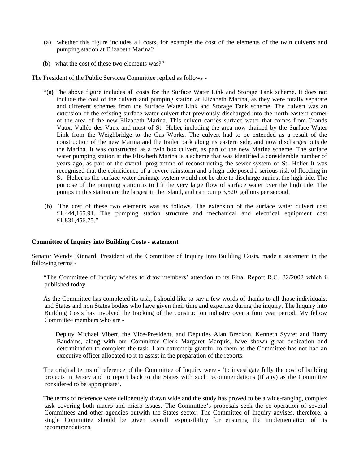- (a) whether this figure includes all costs, for example the cost of the elements of the twin culverts and pumping station at Elizabeth Marina?
- (b) what the cost of these two elements was?"

The President of the Public Services Committee replied as follows -

- "(a**)** The above figure includes all costs for the Surface Water Link and Storage Tank scheme. It does not include the cost of the culvert and pumping station at Elizabeth Marina, as they were totally separate and different schemes from the Surface Water Link and Storage Tank scheme. The culvert was an extension of the existing surface water culvert that previously discharged into the north-eastern corner of the area of the new Elizabeth Marina. This culvert carries surface water that comes from Grands Vaux, Vallée des Vaux and most of St. Helier, including the area now drained by the Surface Water Link from the Weighbridge to the Gas Works. The culvert had to be extended as a result of the construction of the new Marina and the trailer park along its eastern side, and now discharges outside the Marina. It was constructed as a twin box culvert, as part of the new Marina scheme. The surface water pumping station at the Elizabeth Marina is a scheme that was identified a considerable number of years ago, as part of the overall programme of reconstructing the sewer system of St. Helier. It was recognised that the coincidence of a severe rainstorm and a high tide posed a serious risk of flooding in St. Helier, as the surface water drainage system would not be able to discharge against the high tide. The purpose of the pumping station is to lift the very large flow of surface water over the high tide. The pumps in this station are the largest in the Island, and can pump 3,520 gallons per second.
- (b) The cost of these two elements was as follows. The extension of the surface water culvert cost £1,444,165.91. The pumping station structure and mechanical and electrical equipment cost £1,831,456.75."

## **Committee of Inquiry into Building Costs - statement**

Senator Wendy Kinnard, President of the Committee of Inquiry into Building Costs, made a statement in the following terms -

 "The Committee of Inquiry wishes to draw members' attention to its Final Report R.C. 32/2002 which is published today.

 As the Committee has completed its task, I should like to say a few words of thanks to all those individuals, and States and non States bodies who have given their time and expertise during the inquiry. The Inquiry into Building Costs has involved the tracking of the construction industry over a four year period. My fellow Committee members who are -

 Deputy Michael Vibert, the Vice-President, and Deputies Alan Breckon, Kenneth Syvret and Harry Baudains, along with our Committee Clerk Margaret Marquis, have shown great dedication and determination to complete the task. I am extremely grateful to them as the Committee has not had an executive officer allocated to it to assist in the preparation of the reports.

 The original terms of reference of the Committee of Inquiry were - 'to investigate fully the cost of building projects in Jersey and to report back to the States with such recommendations (if any) as the Committee considered to be appropriate'.

 The terms of reference were deliberately drawn wide and the study has proved to be a wide-ranging, complex task covering both macro and micro issues. The Committee's proposals seek the co-operation of several Committees and other agencies outwith the States sector. The Committee of Inquiry advises, therefore, a single Committee should be given overall responsibility for ensuring the implementation of its recommendations.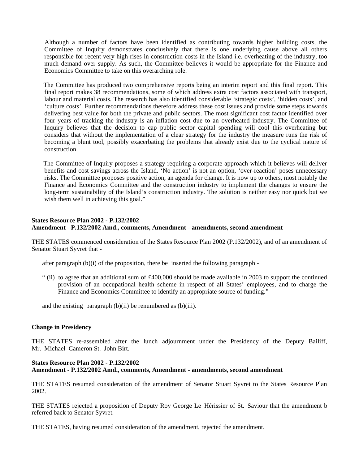Although a number of factors have been identified as contributing towards higher building costs, the Committee of Inquiry demonstrates conclusively that there is one underlying cause above all others responsible for recent very high rises in construction costs in the Island i.e. overheating of the industry, too much demand over supply. As such, the Committee believes it would be appropriate for the Finance and Economics Committee to take on this overarching role.

 The Committee has produced two comprehensive reports being an interim report and this final report. This final report makes 38 recommendations, some of which address extra cost factors associated with transport, labour and material costs. The research has also identified considerable 'strategic costs', 'hidden costs', and 'culture costs'. Further recommendations therefore address these cost issues and provide some steps towards delivering best value for both the private and public sectors. The most significant cost factor identified over four years of tracking the industry is an inflation cost due to an overheated industry. The Committee of Inquiry believes that the decision to cap public sector capital spending will cool this overheating but considers that without the implementation of a clear strategy for the industry the measure runs the risk of becoming a blunt tool, possibly exacerbating the problems that already exist due to the cyclical nature of construction.

 The Committee of Inquiry proposes a strategy requiring a corporate approach which it believes will deliver benefits and cost savings across the Island. 'No action' is not an option, 'over-reaction' poses unnecessary risks. The Committee proposes positive action, an agenda for change. It is now up to others, most notably the Finance and Economics Committee and the construction industry to implement the changes to ensure the long-term sustainability of the Island's construction industry. The solution is neither easy nor quick but we wish them well in achieving this goal."

# **States Resource Plan 2002 - P.132/2002 Amendment - P.132/2002 Amd., comments, Amendment - amendments, second amendment**

THE STATES commenced consideration of the States Resource Plan 2002 (P.132/2002), and of an amendment of Senator Stuart Syvret that -

after paragraph (b)(i) of the proposition, there be inserted the following paragraph -

" (ii) to agree that an additional sum of £400,000 should be made available in 2003 to support the continued provision of an occupational health scheme in respect of all States' employees, and to charge the Finance and Economics Committee to identify an appropriate source of funding."

and the existing paragraph  $(b)(ii)$  be renumbered as  $(b)(iii)$ .

### **Change in Presidency**

THE STATES re-assembled after the lunch adjournment under the Presidency of the Deputy Bailiff, Mr. Michael Cameron St. John Birt.

### **States Resource Plan 2002 - P.132/2002 Amendment - P.132/2002 Amd., comments, Amendment - amendments, second amendment**

THE STATES resumed consideration of the amendment of Senator Stuart Syvret to the States Resource Plan 2002.

THE STATES rejected a proposition of Deputy Roy George Le Hérissier of St. Saviour that the amendment be referred back to Senator Syvret.

THE STATES, having resumed consideration of the amendment, rejected the amendment.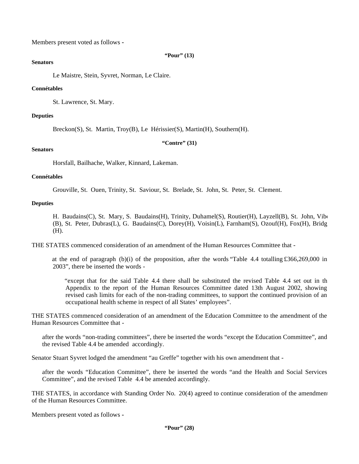Members present voted as follows **-**

#### **"Pour" (13)**

## **Senators**

Le Maistre, Stein, Syvret, Norman, Le Claire.

## **Connétables**

St. Lawrence, St. Mary.

## **Deputies**

Breckon(S), St. Martin, Troy(B), Le Hérissier(S), Martin(H), Southern(H).

**"Contre" (31)**

### **Senators**

Horsfall, Bailhache, Walker, Kinnard, Lakeman.

## **Connétables**

Grouville, St. Ouen, Trinity, St. Saviour, St. Brelade, St. John, St. Peter, St. Clement.

## **Deputies**

H. Baudains(C), St. Mary, S. Baudains(H), Trinity, Duhamel(S), Routier(H), Layzell(B), St. John, Viberty (B), St. Peter, Dubras(L), G. Baudains(C), Dorey(H), Voisin(L), Farnham(S), Ozouf(H), Fox(H), Bridge (H).

THE STATES commenced consideration of an amendment of the Human Resources Committee that -

 at the end of paragraph (b)(i) of the proposition, after the words "Table 4.4 totalling £366,269,000 in 2003", there be inserted the words -

"except that for the said Table 4.4 there shall be substituted the revised Table 4.4 set out in th Appendix to the report of the Human Resources Committee dated 13th August 2002, showing revised cash limits for each of the non-trading committees, to support the continued provision of an occupational health scheme in respect of all States' employees".

THE STATES commenced consideration of an amendment of the Education Committee to the amendment of the Human Resources Committee that -

after the words "non-trading committees", there be inserted the words "except the Education Committee", and the revised Table 4.4 be amended accordingly.

Senator Stuart Syvret lodged the amendment "au Greffe" together with his own amendment that -

after the words "Education Committee", there be inserted the words "and the Health and Social Services Committee", and the revised Table 4.4 be amended accordingly.

THE STATES, in accordance with Standing Order No. 20(4) agreed to continue consideration of the amendment of the Human Resources Committee.

Members present voted as follows **-**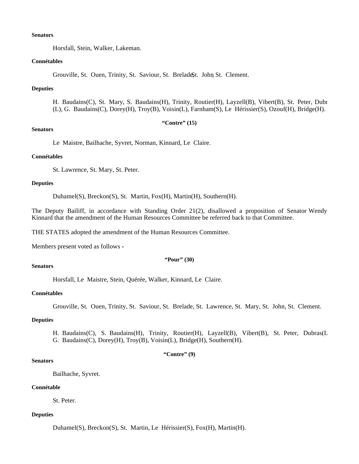#### **Senators**

Horsfall, Stein, Walker, Lakeman.

### **Connétables**

Grouville, St. Ouen, Trinity, St. Saviour, St. BreladeSt. John St. Clement.

### **Deputies**

H. Baudains(C), St. Mary, S. Baudains(H), Trinity, Routier(H), Layzell(B), Vibert(B), St. Peter, Dubr (L), G. Baudains(C), Dorey(H), Troy(B), Voisin(L), Farnham(S), Le Hérissier(S), Ozouf(H), Bridge(H).

**"Contre" (15)**

#### **Senators**

Le Maistre, Bailhache, Syvret, Norman, Kinnard, Le Claire.

#### **Connétables**

St. Lawrence, St. Mary, St. Peter.

### **Deputies**

Duhamel(S), Breckon(S), St. Martin, Fox(H), Martin(H), Southern(H).

The Deputy Bailiff, in accordance with Standing Order 21(2), disallowed a proposition of Senator Wendy Kinnard that the amendment of the Human Resources Committee be referred back to that Committee.

THE STATES adopted the amendment of the Human Resources Committee.

Members present voted as follows **-**

#### **"Pour" (30)**

#### **Senators**

Horsfall, Le Maistre, Stein, Quérée, Walker, Kinnard, Le Claire.

### **Connétables**

Grouville, St. Ouen, Trinity, St. Saviour, St. Brelade, St. Lawrence, St. Mary, St. John, St. Clement.

## **Deputies**

H. Baudains(C), S. Baudains(H), Trinity, Routier(H), Layzell(B), Vibert(B), St. Peter, Dubras(L), G. Baudains(C), Dorey(H), Troy(B), Voisin(L), Bridge(H), Southern(H).

## **"Contre" (9)**

### **Senators**

Bailhache, Syvret.

# **Connétable**

St. Peter.

#### **Deputies**

Duhamel(S), Breckon(S), St. Martin, Le Hérissier(S), Fox(H), Martin(H).